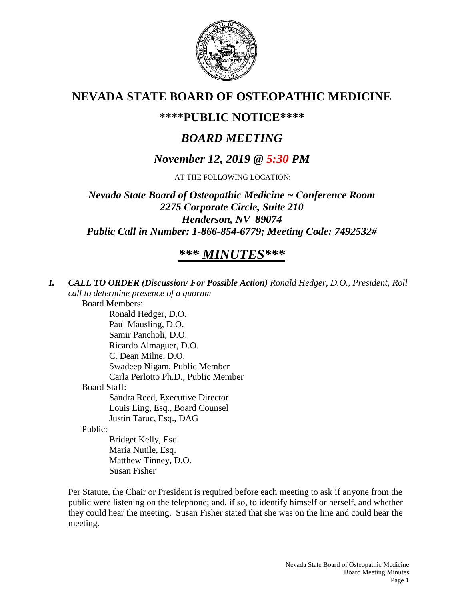

## **NEVADA STATE BOARD OF OSTEOPATHIC MEDICINE**

## **\*\*\*\*PUBLIC NOTICE\*\*\*\***

# *BOARD MEETING*

## *November 12, 2019 @ 5:30 PM*

AT THE FOLLOWING LOCATION:

*Nevada State Board of Osteopathic Medicine ~ Conference Room 2275 Corporate Circle, Suite 210 Henderson, NV 89074 Public Call in Number: 1-866-854-6779; Meeting Code: 7492532#*

# *\*\*\* MINUTES\*\*\**

*I. CALL TO ORDER (Discussion/ For Possible Action) Ronald Hedger, D.O., President, Roll call to determine presence of a quorum* Board Members: Ronald Hedger, D.O. Paul Mausling, D.O. Samir Pancholi, D.O. Ricardo Almaguer, D.O. C. Dean Milne, D.O. Swadeep Nigam, Public Member Carla Perlotto Ph.D., Public Member Board Staff: Sandra Reed, Executive Director Louis Ling, Esq., Board Counsel Justin Taruc, Esq., DAG Public: Bridget Kelly, Esq. Maria Nutile, Esq. Matthew Tinney, D.O. Susan Fisher

Per Statute, the Chair or President is required before each meeting to ask if anyone from the public were listening on the telephone; and, if so, to identify himself or herself, and whether they could hear the meeting. Susan Fisher stated that she was on the line and could hear the meeting.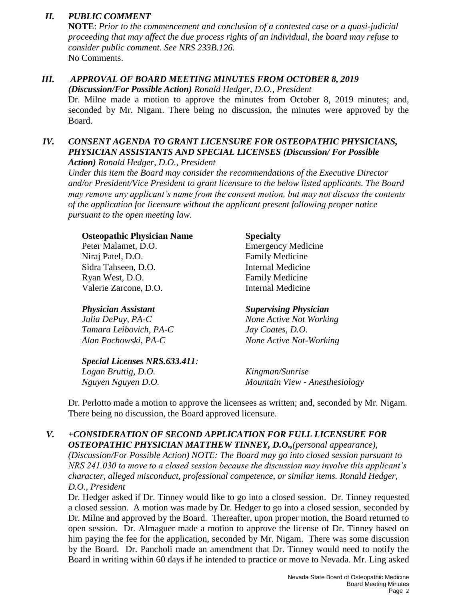## *II. PUBLIC COMMENT*

**NOTE**: *Prior to the commencement and conclusion of a contested case or a quasi-judicial proceeding that may affect the due process rights of an individual, the board may refuse to consider public comment. See NRS 233B.126.* No Comments.

### *III. APPROVAL OF BOARD MEETING MINUTES FROM OCTOBER 8, 2019 (Discussion/For Possible Action) Ronald Hedger, D.O., President*

Dr. Milne made a motion to approve the minutes from October 8, 2019 minutes; and, seconded by Mr. Nigam. There being no discussion, the minutes were approved by the Board.

## *IV. CONSENT AGENDA TO GRANT LICENSURE FOR OSTEOPATHIC PHYSICIANS, PHYSICIAN ASSISTANTS AND SPECIAL LICENSES (Discussion/ For Possible*

*Action) Ronald Hedger, D.O., President*

*Under this item the Board may consider the recommendations of the Executive Director and/or President/Vice President to grant licensure to the below listed applicants. The Board may remove any applicant's name from the consent motion, but may not discuss the contents of the application for licensure without the applicant present following proper notice pursuant to the open meeting law.*

| <b>Osteopathic Physician Name</b> | <b>Specialty</b>             |
|-----------------------------------|------------------------------|
| Peter Malamet, D.O.               | <b>Emergency Medicine</b>    |
| Niraj Patel, D.O.                 | <b>Family Medicine</b>       |
| Sidra Tahseen, D.O.               | <b>Internal Medicine</b>     |
| Ryan West, D.O.                   | <b>Family Medicine</b>       |
| Valerie Zarcone, D.O.             | <b>Internal Medicine</b>     |
| <b>Physician Assistant</b>        | <b>Supervising Physician</b> |

*Julia DePuy, PA-C None Active Not Working Tamara Leibovich, PA-C Jay Coates, D.O. Alan Pochowski, PA-C None Active Not-Working*

*Special Licenses NRS.633.411: Logan Bruttig, D.O. Kingman/Sunrise Nguyen Nguyen D.O. Mountain View - Anesthesiology*

Dr. Perlotto made a motion to approve the licensees as written; and, seconded by Mr. Nigam. There being no discussion, the Board approved licensure.

## *V. +CONSIDERATION OF SECOND APPLICATION FOR FULL LICENSURE FOR OSTEOPATHIC PHYSICIAN MATTHEW TINNEY, D.O.,(personal appearance),*

*(Discussion/For Possible Action) NOTE: The Board may go into closed session pursuant to NRS 241.030 to move to a closed session because the discussion may involve this applicant's character, alleged misconduct, professional competence, or similar items. Ronald Hedger, D.O., President*

Dr. Hedger asked if Dr. Tinney would like to go into a closed session. Dr. Tinney requested a closed session. A motion was made by Dr. Hedger to go into a closed session, seconded by Dr. Milne and approved by the Board. Thereafter, upon proper motion, the Board returned to open session. Dr. Almaguer made a motion to approve the license of Dr. Tinney based on him paying the fee for the application, seconded by Mr. Nigam. There was some discussion by the Board. Dr. Pancholi made an amendment that Dr. Tinney would need to notify the Board in writing within 60 days if he intended to practice or move to Nevada. Mr. Ling asked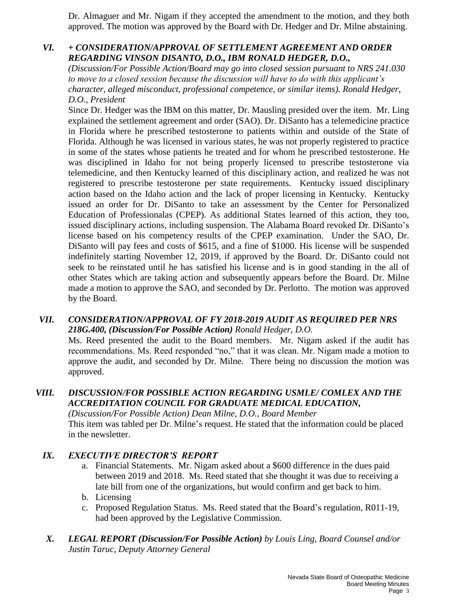Dr. Almaguer and Mr. Nigam if they accepted the amendment to the motion, and they both approved. The motion was approved by the Board with Dr. Hedger and Dr. Milne abstaining.

## *VI. + CONSIDERATION/APPROVAL OF SETTLEMENT AGREEMENT AND ORDER REGARDING VINSON DISANTO, D.O., IBM RONALD HEDGER, D.O.,*

*(Discussion/For Possible Action/Board may go into closed session pursuant to NRS 241.030 to move to a closed session because the discussion will have to do with this applicant's character, alleged misconduct, professional competence, or similar items). Ronald Hedger, D.O., President*

Since Dr. Hedger was the IBM on this matter, Dr. Mausling presided over the item. Mr. Ling explained the settlement agreement and order (SAO). Dr. DiSanto has a telemedicine practice in Florida where he prescribed testosterone to patients within and outside of the State of Florida. Although he was licensed in various states, he was not properly registered to practice in some of the states whose patients he treated and for whom he prescribed testosterone. He was disciplined in Idaho for not being properly licensed to prescribe testosterone via telemedicine, and then Kentucky learned of this disciplinary action, and realized he was not registered to prescribe testosterone per state requirements. Kentucky issued disciplinary action based on the Idaho action and the lack of proper licensing in Kentucky. Kentucky issued an order for Dr. DiSanto to take an assessment by the Center for Personalized Education of Professionalas (CPEP). As additional States learned of this action, they too, issued disciplinary actions, including suspension. The Alabama Board revoked Dr. DiSanto's license based on his competency results of the CPEP examination. Under the SAO, Dr. DiSanto will pay fees and costs of \$615, and a fine of \$1000. His license will be suspended indefinitely starting November 12, 2019, if approved by the Board. Dr. DiSanto could not seek to be reinstated until he has satisfied his license and is in good standing in the all of other States which are taking action and subsequently appears before the Board. Dr. Milne made a motion to approve the SAO, and seconded by Dr. Perlotto. The motion was approved by the Board.

### *VII. CONSIDERATION/APPROVAL OF FY 2018-2019 AUDIT AS REQUIRED PER NRS 218G.400, (Discussion/For Possible Action) Ronald Hedger, D.O.*

Ms. Reed presented the audit to the Board members. Mr. Nigam asked if the audit has recommendations. Ms. Reed responded "no," that it was clean. Mr. Nigam made a motion to approve the audit, and seconded by Dr. Milne. There being no discussion the motion was approved.

## *VIII. DISCUSSION/FOR POSSIBLE ACTION REGARDING USMLE/ COMLEX AND THE ACCREDITATION COUNCIL FOR GRADUATE MEDICAL EDUCATION,*

*(Discussion/For Possible Action) Dean Milne, D.O., Board Member* This item was tabled per Dr. Milne's request. He stated that the information could be placed in the newsletter.

## *IX. EXECUTIVE DIRECTOR'S REPORT*

- a. Financial Statements. Mr. Nigam asked about a \$600 difference in the dues paid between 2019 and 2018. Ms. Reed stated that she thought it was due to receiving a late bill from one of the organizations, but would confirm and get back to him. b. Licensing
- c. Proposed Regulation Status. Ms. Reed stated that the Board's regulation, R011-19, had been approved by the Legislative Commission.
- *X. LEGAL REPORT (Discussion/For Possible Action) by Louis Ling, Board Counsel and/or Justin Taruc, Deputy Attorney General*